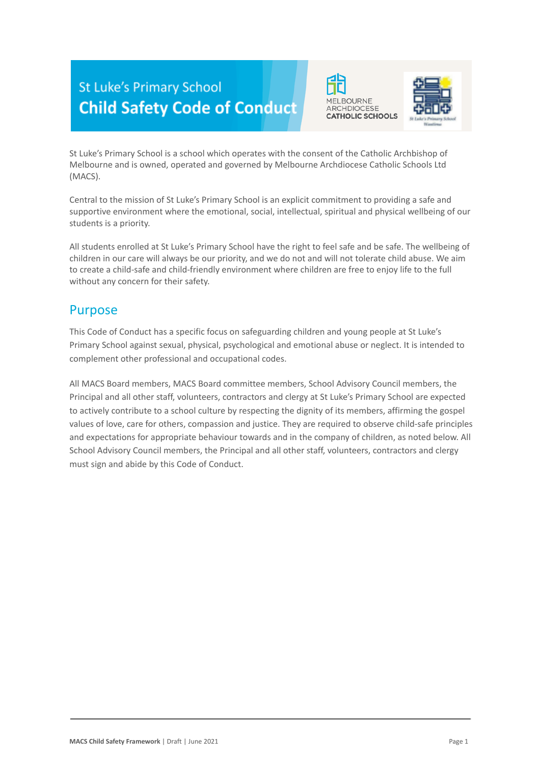# **St Luke's Primary School Child Safety Code of Conduct**





St Luke's Primary School is a school which operates with the consent of the Catholic Archbishop of Melbourne and is owned, operated and governed by Melbourne Archdiocese Catholic Schools Ltd (MACS).

Central to the mission of St Luke's Primary School is an explicit commitment to providing a safe and supportive environment where the emotional, social, intellectual, spiritual and physical wellbeing of our students is a priority.

All students enrolled at St Luke's Primary School have the right to feel safe and be safe. The wellbeing of children in our care will always be our priority, and we do not and will not tolerate child abuse. We aim to create a child-safe and child-friendly environment where children are free to enjoy life to the full without any concern for their safety.

## Purpose

This Code of Conduct has a specific focus on safeguarding children and young people at St Luke's Primary School against sexual, physical, psychological and emotional abuse or neglect. It is intended to complement other professional and occupational codes.

All MACS Board members, MACS Board committee members, School Advisory Council members, the Principal and all other staff, volunteers, contractors and clergy at St Luke's Primary School are expected to actively contribute to a school culture by respecting the dignity of its members, affirming the gospel values of love, care for others, compassion and justice. They are required to observe child-safe principles and expectations for appropriate behaviour towards and in the company of children, as noted below. All School Advisory Council members, the Principal and all other staff, volunteers, contractors and clergy must sign and abide by this Code of Conduct.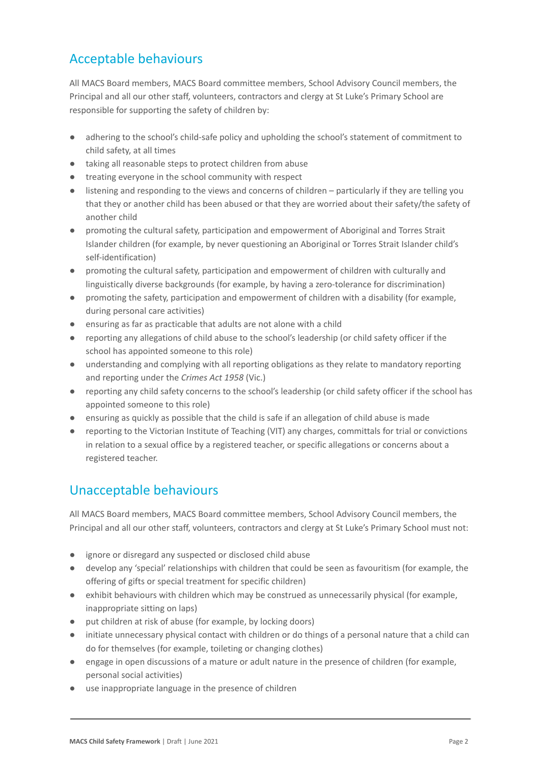# Acceptable behaviours

All MACS Board members, MACS Board committee members, School Advisory Council members, the Principal and all our other staff, volunteers, contractors and clergy at St Luke's Primary School are responsible for supporting the safety of children by:

- adhering to the school's child-safe policy and upholding the school's statement of commitment to child safety, at all times
- taking all reasonable steps to protect children from abuse
- treating everyone in the school community with respect
- listening and responding to the views and concerns of children particularly if they are telling you that they or another child has been abused or that they are worried about their safety/the safety of another child
- promoting the cultural safety, participation and empowerment of Aboriginal and Torres Strait Islander children (for example, by never questioning an Aboriginal or Torres Strait Islander child's self-identification)
- promoting the cultural safety, participation and empowerment of children with culturally and linguistically diverse backgrounds (for example, by having a zero-tolerance for discrimination)
- promoting the safety, participation and empowerment of children with a disability (for example, during personal care activities)
- ensuring as far as practicable that adults are not alone with a child
- reporting any allegations of child abuse to the school's leadership (or child safety officer if the school has appointed someone to this role)
- understanding and complying with all reporting obligations as they relate to mandatory reporting and reporting under the *Crimes Act 1958* (Vic.)
- reporting any child safety concerns to the school's leadership (or child safety officer if the school has appointed someone to this role)
- ensuring as quickly as possible that the child is safe if an allegation of child abuse is made
- reporting to the Victorian Institute of Teaching (VIT) any charges, committals for trial or convictions in relation to a sexual office by a registered teacher, or specific allegations or concerns about a registered teacher.

# Unacceptable behaviours

All MACS Board members, MACS Board committee members, School Advisory Council members, the Principal and all our other staff, volunteers, contractors and clergy at St Luke's Primary School must not:

- ignore or disregard any suspected or disclosed child abuse
- develop any 'special' relationships with children that could be seen as favouritism (for example, the offering of gifts or special treatment for specific children)
- exhibit behaviours with children which may be construed as unnecessarily physical (for example, inappropriate sitting on laps)
- put children at risk of abuse (for example, by locking doors)
- initiate unnecessary physical contact with children or do things of a personal nature that a child can do for themselves (for example, toileting or changing clothes)
- engage in open discussions of a mature or adult nature in the presence of children (for example, personal social activities)
- use inappropriate language in the presence of children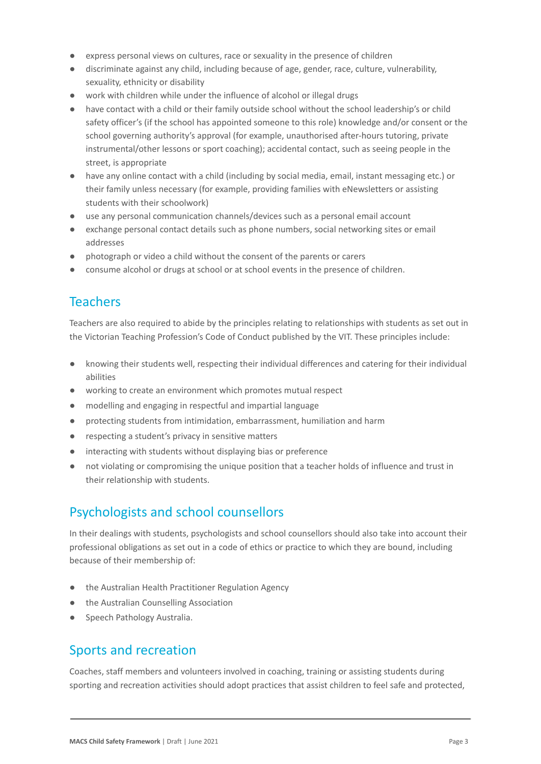- express personal views on cultures, race or sexuality in the presence of children
- discriminate against any child, including because of age, gender, race, culture, vulnerability, sexuality, ethnicity or disability
- work with children while under the influence of alcohol or illegal drugs
- have contact with a child or their family outside school without the school leadership's or child safety officer's (if the school has appointed someone to this role) knowledge and/or consent or the school governing authority's approval (for example, unauthorised after-hours tutoring, private instrumental/other lessons or sport coaching); accidental contact, such as seeing people in the street, is appropriate
- have any online contact with a child (including by social media, email, instant messaging etc.) or their family unless necessary (for example, providing families with eNewsletters or assisting students with their schoolwork)
- use any personal communication channels/devices such as a personal email account
- exchange personal contact details such as phone numbers, social networking sites or email addresses
- photograph or video a child without the consent of the parents or carers
- consume alcohol or drugs at school or at school events in the presence of children.

## **Teachers**

Teachers are also required to abide by the principles relating to relationships with students as set out in the Victorian Teaching Profession's Code of Conduct published by the VIT. These principles include:

- knowing their students well, respecting their individual differences and catering for their individual abilities
- working to create an environment which promotes mutual respect
- modelling and engaging in respectful and impartial language
- protecting students from intimidation, embarrassment, humiliation and harm
- respecting a student's privacy in sensitive matters
- interacting with students without displaying bias or preference
- not violating or compromising the unique position that a teacher holds of influence and trust in their relationship with students.

# Psychologists and school counsellors

In their dealings with students, psychologists and school counsellors should also take into account their professional obligations as set out in a code of ethics or practice to which they are bound, including because of their membership of:

- the Australian Health Practitioner Regulation Agency
- the Australian Counselling Association
- Speech Pathology Australia.

#### Sports and recreation

Coaches, staff members and volunteers involved in coaching, training or assisting students during sporting and recreation activities should adopt practices that assist children to feel safe and protected,